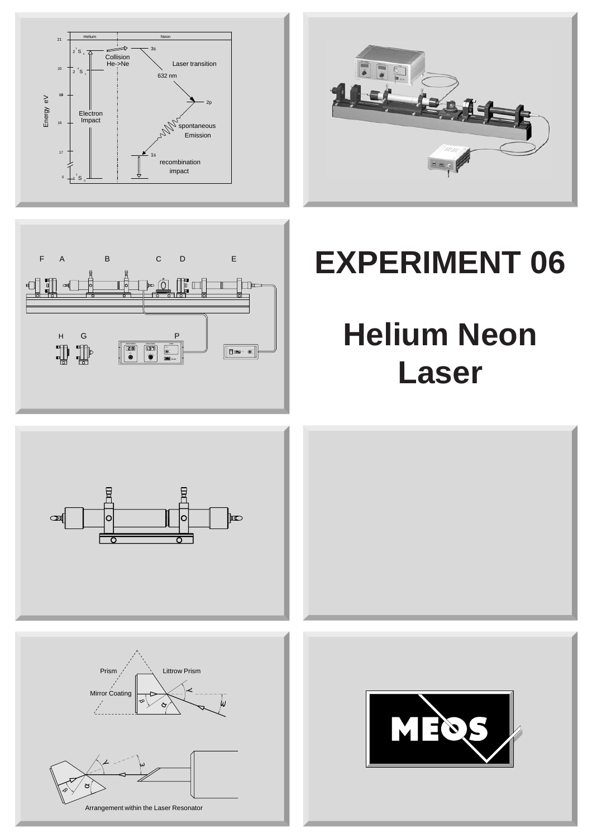





# **EXPERIMENT 06**

# **Helium Neon Laser**

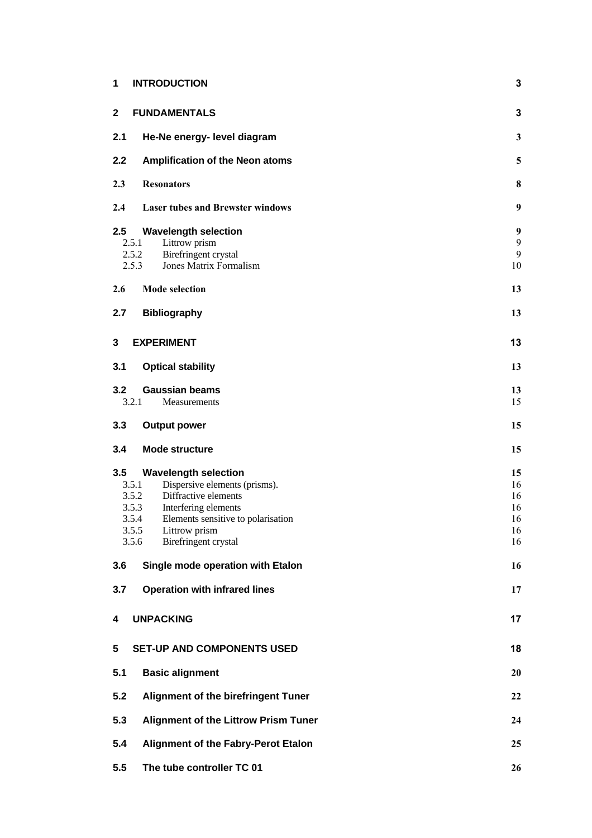| 1            | <b>INTRODUCTION</b>                                                     | 3            |
|--------------|-------------------------------------------------------------------------|--------------|
| $\mathbf{2}$ | <b>FUNDAMENTALS</b>                                                     | 3            |
| 2.1          | He-Ne energy- level diagram                                             | $\mathbf{3}$ |
| 2.2          | <b>Amplification of the Neon atoms</b>                                  | 5            |
| 2.3          | <b>Resonators</b>                                                       | 8            |
| 2.4          | <b>Laser tubes and Brewster windows</b>                                 | 9            |
| $2.5\,$      | <b>Wavelength selection</b>                                             | 9            |
|              | 2.5.1<br>Littrow prism                                                  | 9            |
|              | 2.5.2<br><b>Birefringent crystal</b><br>2.5.3<br>Jones Matrix Formalism | 9<br>10      |
| 2.6          | <b>Mode selection</b>                                                   | 13           |
| 2.7          | <b>Bibliography</b>                                                     | 13           |
| 3            | <b>EXPERIMENT</b>                                                       | 13           |
| 3.1          | <b>Optical stability</b>                                                | 13           |
| 3.2          | <b>Gaussian beams</b>                                                   | 13           |
|              | 3.2.1<br><b>Measurements</b>                                            | 15           |
| 3.3          | <b>Output power</b>                                                     | 15           |
| 3.4          | <b>Mode structure</b>                                                   | 15           |
| 3.5          | <b>Wavelength selection</b>                                             | 15           |
|              | Dispersive elements (prisms).<br>3.5.1                                  | 16           |
|              | 3.5.2<br>Diffractive elements                                           | 16           |
|              | 3.5.3<br><b>Interfering elements</b>                                    | 16           |
|              | Elements sensitive to polarisation<br>3.5.4                             | 16           |
|              | 3.5.5<br>Littrow prism                                                  | 16           |
|              | 3.5.6<br><b>Birefringent crystal</b>                                    | 16           |
| 3.6          | Single mode operation with Etalon                                       | 16           |
| 3.7          | <b>Operation with infrared lines</b>                                    | 17           |
| 4            | <b>UNPACKING</b>                                                        | 17           |
| 5            | <b>SET-UP AND COMPONENTS USED</b>                                       | 18           |
| 5.1          | <b>Basic alignment</b>                                                  | 20           |
| 5.2          | <b>Alignment of the birefringent Tuner</b>                              | 22           |
| 5.3          | <b>Alignment of the Littrow Prism Tuner</b>                             | 24           |
| 5.4          | <b>Alignment of the Fabry-Perot Etalon</b>                              | 25           |
| 5.5          | The tube controller TC 01                                               | 26           |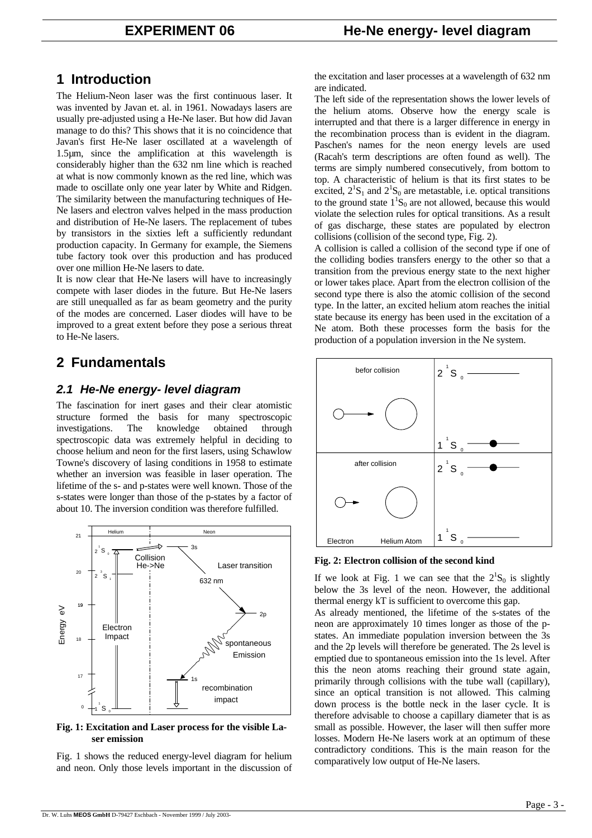# **1 Introduction**

The Helium-Neon laser was the first continuous laser. It was invented by Javan et. al. in 1961. Nowadays lasers are usually pre-adjusted using a He-Ne laser. But how did Javan manage to do this? This shows that it is no coincidence that Javan's first He-Ne laser oscillated at a wavelength of 1.5µm, since the amplification at this wavelength is considerably higher than the 632 nm line which is reached at what is now commonly known as the red line, which was made to oscillate only one year later by White and Ridgen. The similarity between the manufacturing techniques of He-Ne lasers and electron valves helped in the mass production and distribution of He-Ne lasers. The replacement of tubes by transistors in the sixties left a sufficiently redundant production capacity. In Germany for example, the Siemens tube factory took over this production and has produced over one million He-Ne lasers to date.

It is now clear that He-Ne lasers will have to increasingly compete with laser diodes in the future. But He-Ne lasers are still unequalled as far as beam geometry and the purity of the modes are concerned. Laser diodes will have to be improved to a great extent before they pose a serious threat to He-Ne lasers.

# **2 Fundamentals**

# *2.1 He-Ne energy- level diagram*

The fascination for inert gases and their clear atomistic structure formed the basis for many spectroscopic investigations. The knowledge obtained through spectroscopic data was extremely helpful in deciding to choose helium and neon for the first lasers, using Schawlow Towne's discovery of lasing conditions in 1958 to estimate whether an inversion was feasible in laser operation. The lifetime of the s- and p-states were well known. Those of the s-states were longer than those of the p-states by a factor of about 10. The inversion condition was therefore fulfilled.



### **Fig. 1: Excitation and Laser process for the visible Laser emission**

Fig. 1 shows the reduced energy-level diagram for helium and neon. Only those levels important in the discussion of the excitation and laser processes at a wavelength of 632 nm are indicated.

The left side of the representation shows the lower levels of the helium atoms. Observe how the energy scale is interrupted and that there is a larger difference in energy in the recombination process than is evident in the diagram. Paschen's names for the neon energy levels are used (Racah's term descriptions are often found as well). The terms are simply numbered consecutively, from bottom to top. A characteristic of helium is that its first states to be excited,  $2^1S_1$  and  $2^1S_0$  are metastable, i.e. optical transitions to the ground state  $1^1S_0$  are not allowed, because this would violate the selection rules for optical transitions. As a result of gas discharge, these states are populated by electron collisions (collision of the second type, Fig. 2).

A collision is called a collision of the second type if one of the colliding bodies transfers energy to the other so that a transition from the previous energy state to the next higher or lower takes place. Apart from the electron collision of the second type there is also the atomic collision of the second type. In the latter, an excited helium atom reaches the initial state because its energy has been used in the excitation of a Ne atom. Both these processes form the basis for the production of a population inversion in the Ne system.



**Fig. 2: Electron collision of the second kind** 

If we look at Fig. 1 we can see that the  $2^1S_0$  is slightly below the 3s level of the neon. However, the additional thermal energy kT is sufficient to overcome this gap.

As already mentioned, the lifetime of the s-states of the neon are approximately 10 times longer as those of the pstates. An immediate population inversion between the 3s and the 2p levels will therefore be generated. The 2s level is emptied due to spontaneous emission into the 1s level. After this the neon atoms reaching their ground state again, primarily through collisions with the tube wall (capillary), since an optical transition is not allowed. This calming down process is the bottle neck in the laser cycle. It is therefore advisable to choose a capillary diameter that is as small as possible. However, the laser will then suffer more losses. Modern He-Ne lasers work at an optimum of these contradictory conditions. This is the main reason for the comparatively low output of He-Ne lasers.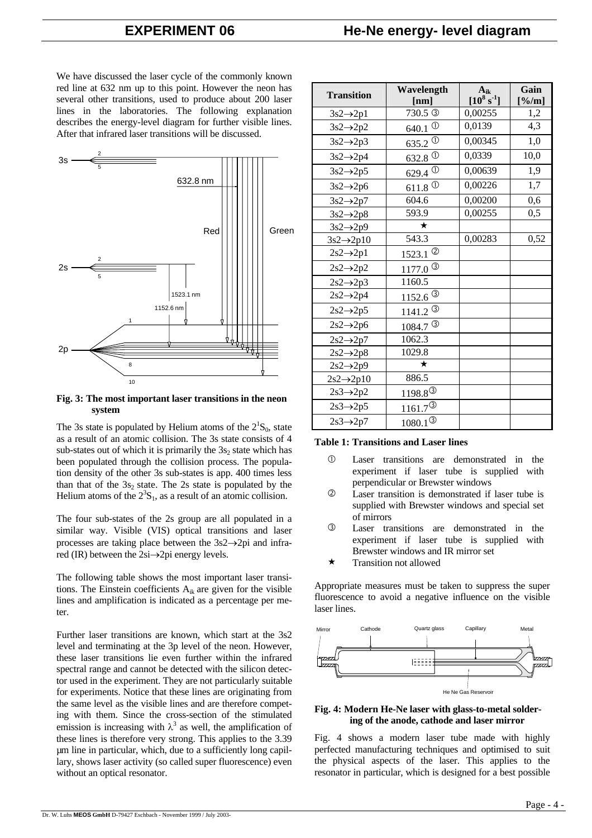# **EXPERIMENT 06 He-Ne energy- level diagram**

We have discussed the laser cycle of the commonly known red line at 632 nm up to this point. However the neon has several other transitions, used to produce about 200 laser lines in the laboratories. The following explanation describes the energy-level diagram for further visible lines. After that infrared laser transitions will be discussed.



**Fig. 3: The most important laser transitions in the neon system** 

The 3s state is populated by Helium atoms of the  $2^1S_0$ , state as a result of an atomic collision. The 3s state consists of 4 sub-states out of which it is primarily the  $3s_2$  state which has been populated through the collision process. The population density of the other 3s sub-states is app. 400 times less than that of the  $3s_2$  state. The 2s state is populated by the Helium atoms of the  $2<sup>3</sup>S<sub>1</sub>$ , as a result of an atomic collision.

The four sub-states of the 2s group are all populated in a similar way. Visible (VIS) optical transitions and laser processes are taking place between the 3s2→2pi and infrared (IR) between the 2si→2pi energy levels.

The following table shows the most important laser transitions. The Einstein coefficients  $A_{ik}$  are given for the visible lines and amplification is indicated as a percentage per meter.

Further laser transitions are known, which start at the 3s2 level and terminating at the 3p level of the neon. However, these laser transitions lie even further within the infrared spectral range and cannot be detected with the silicon detector used in the experiment. They are not particularly suitable for experiments. Notice that these lines are originating from the same level as the visible lines and are therefore competing with them. Since the cross-section of the stimulated emission is increasing with  $\lambda^3$  as well, the amplification of these lines is therefore very strong. This applies to the 3.39 µm line in particular, which, due to a sufficiently long capillary, shows laser activity (so called super fluorescence) even without an optical resonator.

| <b>Transition</b>      | Wavelength              | $A_{ik}$        | Gain  |
|------------------------|-------------------------|-----------------|-------|
|                        | [nm]                    | $[10^8 s^{-1}]$ | [%/m] |
| $3s2 \rightarrow 2p1$  | 730.5 <sup>3</sup>      | 0,00255         | 1,2   |
| $3s2 \rightarrow 2p2$  | 640.1 $^{\circ}$        | 0,0139          | 4,3   |
| $3s2 \rightarrow 2p3$  | 635.2 $\circledcirc$    | 0,00345         | 1,0   |
| $3s2 \rightarrow 2p4$  | $632.8\text{ }^{\circ}$ | 0.0339          | 10,0  |
| $3s2 \rightarrow 2p5$  | 629.4 $^\circledR$      | 0.00639         | 1,9   |
| $3s2 \rightarrow 2p6$  | 611.8 $^\circ$          | 0.00226         | 1,7   |
| $3s2 \rightarrow 2p7$  | 604.6                   | 0.00200         | 0,6   |
| $3s2 \rightarrow 2p8$  | 593.9                   | 0.00255         | 0,5   |
| $3s2 \rightarrow 2p9$  | $\star$                 |                 |       |
| $3s2 \rightarrow 2p10$ | 543.3                   | 0.00283         | 0,52  |
| $2s2 \rightarrow 2p1$  | $1523.1$ <sup>2</sup>   |                 |       |
| $2s2 \rightarrow 2p2$  | 1177.0 $^{\circ}$       |                 |       |
| $2s2 \rightarrow 2p3$  | 1160.5                  |                 |       |
| $2s2 \rightarrow 2p4$  | $1152.6^{\circ}$        |                 |       |
| $2s2 \rightarrow 2p5$  | $1141.2^{\circ}$        |                 |       |
| $2s2 \rightarrow 2p6$  | 1084.7 <sup>3</sup>     |                 |       |
| $2s2 \rightarrow 2p7$  | 1062.3                  |                 |       |
| $2s2 \rightarrow 2p8$  | 1029.8                  |                 |       |
| $2s2 \rightarrow 2p9$  | ★                       |                 |       |
| $2s2 \rightarrow 2p10$ | 886.5                   |                 |       |
| $2s3 \rightarrow 2p2$  | $1198.8^{\circledcirc}$ |                 |       |
| $2s3 \rightarrow 2p5$  | $1161.7^{\circledS}$    |                 |       |
| $2s3 \rightarrow 2p7$  | $1080.1^{\circledS}$    |                 |       |

#### **Table 1: Transitions and Laser lines**

- c Laser transitions are demonstrated in the experiment if laser tube is supplied with perpendicular or Brewster windows
- d Laser transition is demonstrated if laser tube is supplied with Brewster windows and special set of mirrors
- e Laser transitions are demonstrated in the experiment if laser tube is supplied with Brewster windows and IR mirror set
- $\star$  Transition not allowed

Appropriate measures must be taken to suppress the super fluorescence to avoid a negative influence on the visible laser lines.



#### **Fig. 4: Modern He-Ne laser with glass-to-metal soldering of the anode, cathode and laser mirror**

Fig. 4 shows a modern laser tube made with highly perfected manufacturing techniques and optimised to suit the physical aspects of the laser. This applies to the resonator in particular, which is designed for a best possible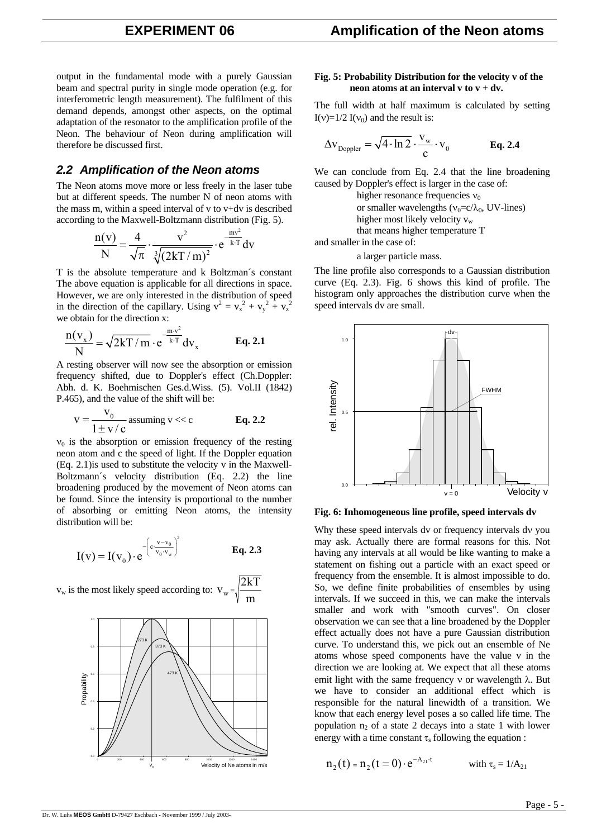output in the fundamental mode with a purely Gaussian beam and spectral purity in single mode operation (e.g. for interferometric length measurement). The fulfilment of this demand depends, amongst other aspects, on the optimal adaptation of the resonator to the amplification profile of the Neon. The behaviour of Neon during amplification will therefore be discussed first.

# *2.2 Amplification of the Neon atoms*

The Neon atoms move more or less freely in the laser tube but at different speeds. The number N of neon atoms with the mass m, within a speed interval of v to v+dv is described according to the Maxwell-Boltzmann distribution (Fig. 5).

$$
\frac{n(v)}{N} = \frac{4}{\sqrt{\pi}} \cdot \frac{v^2}{\sqrt[3]{(2kT/m)^2}} \cdot e^{\frac{mv^2}{k \cdot T}} dv
$$

T is the absolute temperature and k Boltzman´s constant The above equation is applicable for all directions in space. However, we are only interested in the distribution of speed in the direction of the capillary. Using  $v^2 = v_x^2 + v_y^2 + v_z^2$ we obtain for the direction x:

$$
\frac{n(v_x)}{N} = \sqrt{2kT/m} \cdot e^{-\frac{mv^2}{k \cdot T}} dv_x
$$
 Eq. 2.1

A resting observer will now see the absorption or emission frequency shifted, due to Doppler's effect (Ch.Doppler: Abh. d. K. Boehmischen Ges.d.Wiss. (5). Vol.II (1842) P.465), and the value of the shift will be:

$$
v = \frac{v_0}{1 \pm v/c}
$$
 assuming v << c  
**Eq. 2.2**

 $v_0$  is the absorption or emission frequency of the resting neon atom and c the speed of light. If the Doppler equation (Eq. 2.1)is used to substitute the velocity v in the Maxwell-Boltzmann´s velocity distribution (Eq. 2.2) the line broadening produced by the movement of Neon atoms can be found. Since the intensity is proportional to the number of absorbing or emitting Neon atoms, the intensity distribution will be:

$$
I(v) = I(v_0) \cdot e^{-\left(c \frac{v - v_0}{v_0 \cdot v_w}\right)^2}
$$
 Eq. 2.3

 $v_{\rm w}$  is the most likely speed according to:  $\rm\,V_{\rm w}$  = 2kT m



#### **Fig. 5: Probability Distribution for the velocity v of the neon atoms at an interval v to**  $v + dv$ **.**

The full width at half maximum is calculated by setting I(v)= $1/2$  I(v<sub>0</sub>) and the result is:

$$
\Delta \mathbf{v}_{\text{Doppler}} = \sqrt{4 \cdot \ln 2} \cdot \frac{\mathbf{v}_{\text{w}}}{c} \cdot \mathbf{v}_{0}
$$
 Eq. 2.4

We can conclude from Eq. 2.4 that the line broadening caused by Doppler's effect is larger in the case of:

> higher resonance frequencies  $v_0$ or smaller wavelengths ( $v_0 = c/\lambda_0$ , UV-lines) higher most likely velocity  $v_w$ that means higher temperature T

and smaller in the case of:

a larger particle mass.

The line profile also corresponds to a Gaussian distribution curve (Eq. 2.3). Fig. 6 shows this kind of profile. The histogram only approaches the distribution curve when the speed intervals dv are small.



**Fig. 6: Inhomogeneous line profile, speed intervals dv** 

Why these speed intervals dv or frequency intervals dν you may ask. Actually there are formal reasons for this. Not having any intervals at all would be like wanting to make a statement on fishing out a particle with an exact speed or frequency from the ensemble. It is almost impossible to do. So, we define finite probabilities of ensembles by using intervals. If we succeed in this, we can make the intervals smaller and work with "smooth curves". On closer observation we can see that a line broadened by the Doppler effect actually does not have a pure Gaussian distribution curve. To understand this, we pick out an ensemble of Ne atoms whose speed components have the value v in the direction we are looking at. We expect that all these atoms emit light with the same frequency  $v$  or wavelength  $\lambda$ . But we have to consider an additional effect which is responsible for the natural linewidth of a transition. We know that each energy level poses a so called life time. The population  $n_2$  of a state 2 decays into a state 1 with lower energy with a time constant  $\tau_s$  following the equation :

$$
n_2(t) = n_2(t=0) \cdot e^{-A_{21} \cdot t} \qquad \text{with } \tau_s = 1/A_{21}
$$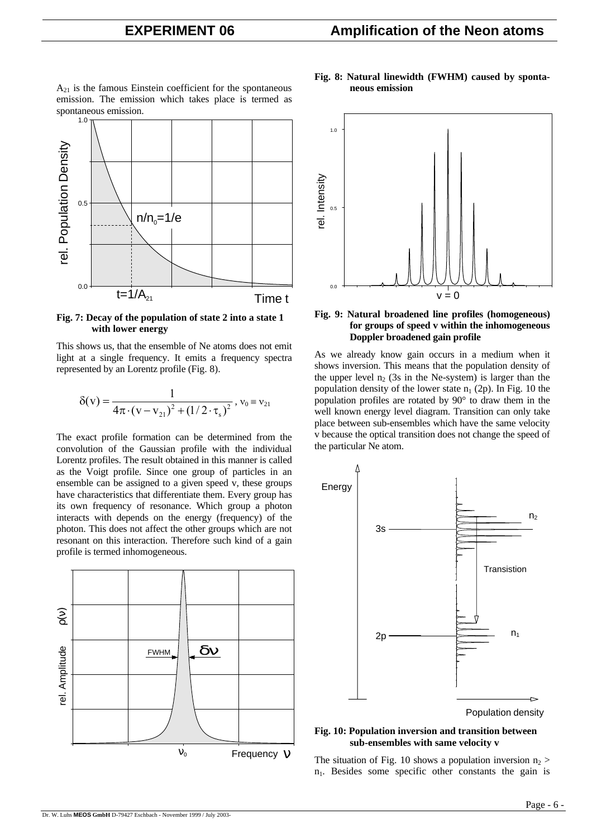$A_{21}$  is the famous Einstein coefficient for the spontaneous emission. The emission which takes place is termed as spontaneous emission.



**Fig. 7: Decay of the population of state 2 into a state 1 with lower energy** 

This shows us, that the ensemble of Ne atoms does not emit light at a single frequency. It emits a frequency spectra represented by an Lorentz profile (Fig. 8).

$$
\delta(v) = \frac{1}{4\pi \cdot (v - v_{21})^2 + (1/2 \cdot \tau_s)^2}, v_0 \equiv v_{21}
$$

The exact profile formation can be determined from the convolution of the Gaussian profile with the individual Lorentz profiles. The result obtained in this manner is called as the Voigt profile. Since one group of particles in an ensemble can be assigned to a given speed v, these groups have characteristics that differentiate them. Every group has its own frequency of resonance. Which group a photon interacts with depends on the energy (frequency) of the photon. This does not affect the other groups which are not resonant on this interaction. Therefore such kind of a gain profile is termed inhomogeneous.



#### **Fig. 8: Natural linewidth (FWHM) caused by spontaneous emission**



### **Fig. 9: Natural broadened line profiles (homogeneous) for groups of speed v within the inhomogeneous Doppler broadened gain profile**

As we already know gain occurs in a medium when it shows inversion. This means that the population density of the upper level  $n_2$  (3s in the Ne-system) is larger than the population density of the lower state  $n_1$  (2p). In Fig. 10 the population profiles are rotated by 90° to draw them in the well known energy level diagram. Transition can only take place between sub-ensembles which have the same velocity v because the optical transition does not change the speed of the particular Ne atom.



### **Fig. 10: Population inversion and transition between sub-ensembles with same velocity v**

The situation of Fig. 10 shows a population inversion  $n_2$  $n_1$ . Besides some specific other constants the gain is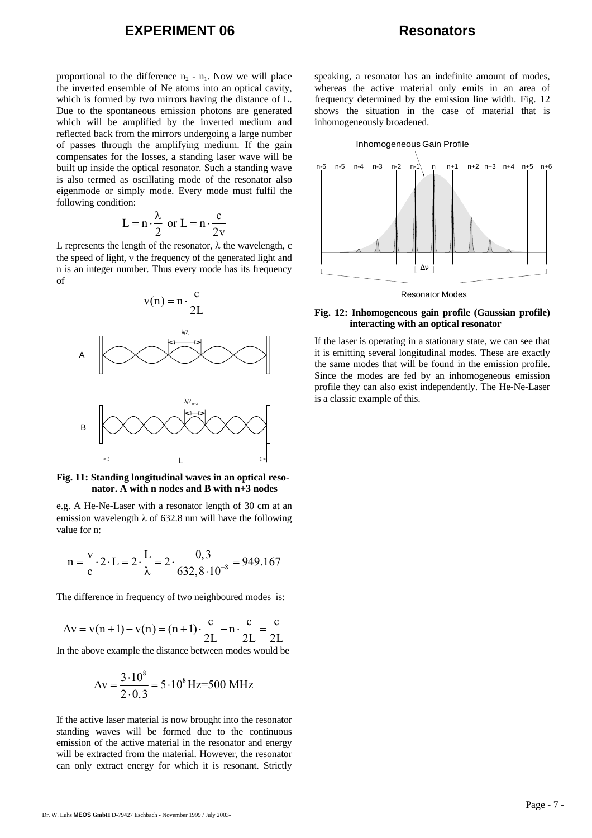proportional to the difference  $n_2 - n_1$ . Now we will place the inverted ensemble of Ne atoms into an optical cavity, which is formed by two mirrors having the distance of L. Due to the spontaneous emission photons are generated which will be amplified by the inverted medium and reflected back from the mirrors undergoing a large number of passes through the amplifying medium. If the gain compensates for the losses, a standing laser wave will be built up inside the optical resonator. Such a standing wave is also termed as oscillating mode of the resonator also eigenmode or simply mode. Every mode must fulfil the following condition:

$$
L = n \cdot \frac{\lambda}{2} \text{ or } L = n \cdot \frac{c}{2v}
$$

L represents the length of the resonator,  $\lambda$  the wavelength, c the speed of light, ν the frequency of the generated light and n is an integer number. Thus every mode has its frequency of



#### **Fig. 11: Standing longitudinal waves in an optical resonator. A with n nodes and B with n+3 nodes**

e.g. A He-Ne-Laser with a resonator length of 30 cm at an emission wavelength  $\lambda$  of 632.8 nm will have the following value for n:

$$
n = \frac{v}{c} \cdot 2 \cdot L = 2 \cdot \frac{L}{\lambda} = 2 \cdot \frac{0.3}{632.8 \cdot 10^{-8}} = 949.167
$$

The difference in frequency of two neighboured modes is:

$$
\Delta v = v(n+1) - v(n) = (n+1) \cdot \frac{c}{2L} - n \cdot \frac{c}{2L} = \frac{c}{2L}
$$

In the above example the distance between modes would be

$$
\Delta v = \frac{3 \cdot 10^8}{2 \cdot 0.3} = 5 \cdot 10^8 \,\text{Hz} = 500 \,\text{MHz}
$$

If the active laser material is now brought into the resonator standing waves will be formed due to the continuous emission of the active material in the resonator and energy will be extracted from the material. However, the resonator can only extract energy for which it is resonant. Strictly

speaking, a resonator has an indefinite amount of modes, whereas the active material only emits in an area of frequency determined by the emission line width. Fig. 12 shows the situation in the case of material that is inhomogeneously broadened.



#### **Fig. 12: Inhomogeneous gain profile (Gaussian profile) interacting with an optical resonator**

If the laser is operating in a stationary state, we can see that it is emitting several longitudinal modes. These are exactly the same modes that will be found in the emission profile. Since the modes are fed by an inhomogeneous emission profile they can also exist independently. The He-Ne-Laser is a classic example of this.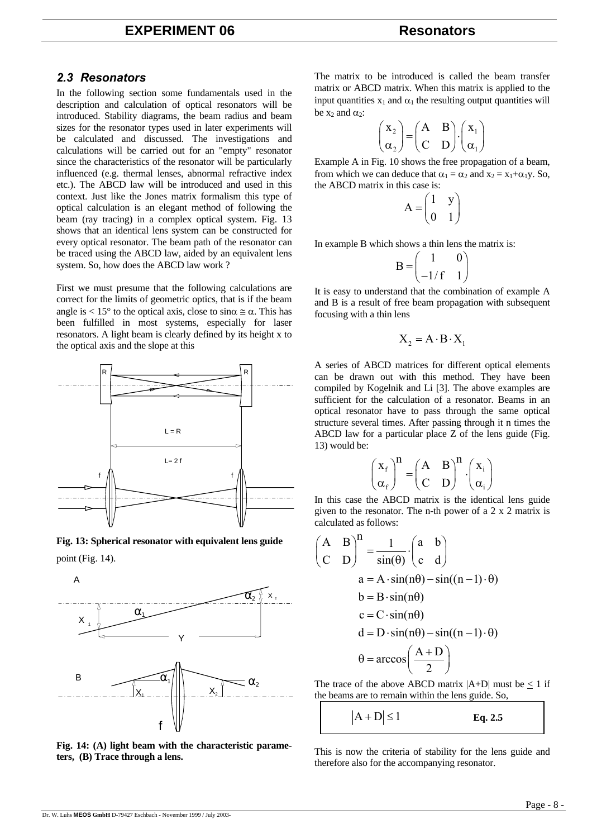# **EXPERIMENT 06 Resonators**

# *2.3 Resonators*

In the following section some fundamentals used in the description and calculation of optical resonators will be introduced. Stability diagrams, the beam radius and beam sizes for the resonator types used in later experiments will be calculated and discussed. The investigations and calculations will be carried out for an "empty" resonator since the characteristics of the resonator will be particularly influenced (e.g. thermal lenses, abnormal refractive index etc.). The ABCD law will be introduced and used in this context. Just like the Jones matrix formalism this type of optical calculation is an elegant method of following the beam (ray tracing) in a complex optical system. Fig. 13 shows that an identical lens system can be constructed for every optical resonator. The beam path of the resonator can be traced using the ABCD law, aided by an equivalent lens system. So, how does the ABCD law work ?

First we must presume that the following calculations are correct for the limits of geometric optics, that is if the beam angle is < 15° to the optical axis, close to  $\sin \alpha \approx \alpha$ . This has been fulfilled in most systems, especially for laser resonators. A light beam is clearly defined by its height x to the optical axis and the slope at this



**Fig. 13: Spherical resonator with equivalent lens guide**  point (Fig. 14).

A



**Fig. 14: (A) light beam with the characteristic parameters, (B) Trace through a lens.** 

The matrix to be introduced is called the beam transfer matrix or ABCD matrix. When this matrix is applied to the input quantities  $x_1$  and  $\alpha_1$  the resulting output quantities will be  $x_2$  and  $\alpha_2$ :

$$
\begin{pmatrix} x_2 \\ \alpha_2 \end{pmatrix} = \begin{pmatrix} A & B \\ C & D \end{pmatrix} \cdot \begin{pmatrix} x_1 \\ \alpha_1 \end{pmatrix}
$$

Example A in Fig. 10 shows the free propagation of a beam, from which we can deduce that  $\alpha_1 = \alpha_2$  and  $x_2 = x_1 + \alpha_1 y$ . So, the ABCD matrix in this case is:

$$
A = \begin{pmatrix} 1 & y \\ 0 & 1 \end{pmatrix}
$$

In example B which shows a thin lens the matrix is:

$$
\mathbf{B} = \begin{pmatrix} 1 & 0 \\ -1/f & 1 \end{pmatrix}
$$

It is easy to understand that the combination of example A and B is a result of free beam propagation with subsequent focusing with a thin lens

$$
X_2 = A \cdot B \cdot X_1
$$

A series of ABCD matrices for different optical elements can be drawn out with this method. They have been compiled by Kogelnik and Li [3]. The above examples are sufficient for the calculation of a resonator. Beams in an optical resonator have to pass through the same optical structure several times. After passing through it n times the ABCD law for a particular place Z of the lens guide (Fig. 13) would be:

$$
\begin{pmatrix} x_f \\ \alpha_f \end{pmatrix}^n = \begin{pmatrix} A & B \\ C & D \end{pmatrix}^n \cdot \begin{pmatrix} x_i \\ \alpha_i \end{pmatrix}
$$

In this case the ABCD matrix is the identical lens guide given to the resonator. The n-th power of a 2 x 2 matrix is calculated as follows:

$$
\begin{pmatrix}\nA & B \\
C & D\n\end{pmatrix}^n = \frac{1}{\sin(\theta)} \cdot \begin{pmatrix} a & b \\
c & d \end{pmatrix}
$$
\n
$$
a = A \cdot \sin(n\theta) - \sin((n-1) \cdot \theta)
$$
\n
$$
b = B \cdot \sin(n\theta)
$$
\n
$$
c = C \cdot \sin(n\theta)
$$
\n
$$
d = D \cdot \sin(n\theta) - \sin((n-1) \cdot \theta)
$$
\n
$$
\theta = \arccos\left(\frac{A+D}{2}\right)
$$

The trace of the above ABCD matrix  $|A+D|$  must be < 1 if the beams are to remain within the lens guide. So,

$$
|A + D| \le 1
$$
 Eq. 2.5

This is now the criteria of stability for the lens guide and therefore also for the accompanying resonator.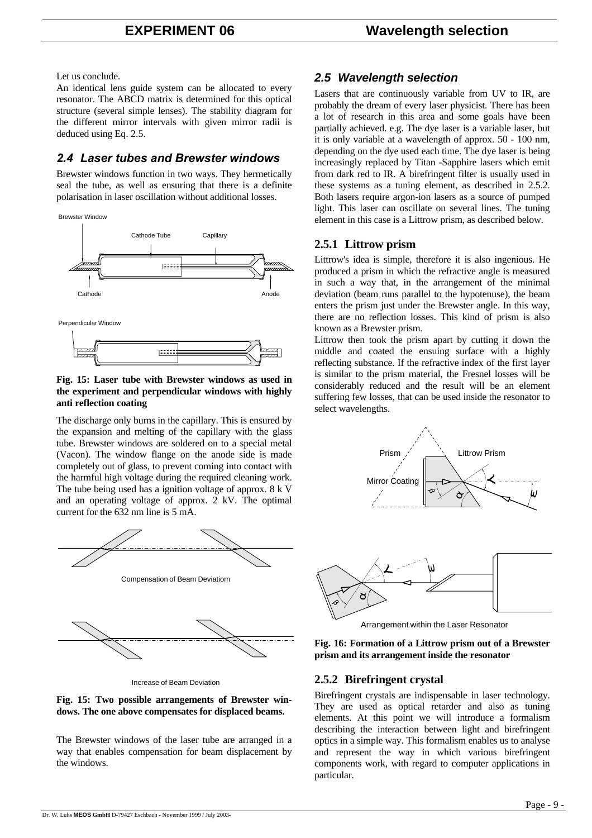Let us conclude.

An identical lens guide system can be allocated to every resonator. The ABCD matrix is determined for this optical structure (several simple lenses). The stability diagram for the different mirror intervals with given mirror radii is deduced using Eq. 2.5.

# *2.4 Laser tubes and Brewster windows*

Brewster windows function in two ways. They hermetically seal the tube, as well as ensuring that there is a definite polarisation in laser oscillation without additional losses.



### **Fig. 15: Laser tube with Brewster windows as used in the experiment and perpendicular windows with highly anti reflection coating**

The discharge only burns in the capillary. This is ensured by the expansion and melting of the capillary with the glass tube. Brewster windows are soldered on to a special metal (Vacon). The window flange on the anode side is made completely out of glass, to prevent coming into contact with the harmful high voltage during the required cleaning work. The tube being used has a ignition voltage of approx. 8 k V and an operating voltage of approx. 2 kV. The optimal current for the 632 nm line is 5 mA.



Increase of Beam Deviation

### **Fig. 15: Two possible arrangements of Brewster windows. The one above compensates for displaced beams.**

The Brewster windows of the laser tube are arranged in a way that enables compensation for beam displacement by the windows.

# *2.5 Wavelength selection*

Lasers that are continuously variable from UV to IR, are probably the dream of every laser physicist. There has been a lot of research in this area and some goals have been partially achieved. e.g. The dye laser is a variable laser, but it is only variable at a wavelength of approx. 50 - 100 nm, depending on the dye used each time. The dye laser is being increasingly replaced by Titan -Sapphire lasers which emit from dark red to IR. A birefringent filter is usually used in these systems as a tuning element, as described in 2.5.2. Both lasers require argon-ion lasers as a source of pumped light. This laser can oscillate on several lines. The tuning element in this case is a Littrow prism, as described below.

# **2.5.1 Littrow prism**

Littrow's idea is simple, therefore it is also ingenious. He produced a prism in which the refractive angle is measured in such a way that, in the arrangement of the minimal deviation (beam runs parallel to the hypotenuse), the beam enters the prism just under the Brewster angle. In this way, there are no reflection losses. This kind of prism is also known as a Brewster prism.

Littrow then took the prism apart by cutting it down the middle and coated the ensuing surface with a highly reflecting substance. If the refractive index of the first layer is similar to the prism material, the Fresnel losses will be considerably reduced and the result will be an element suffering few losses, that can be used inside the resonator to select wavelengths.





Arrangement within the Laser Resonator

### **Fig. 16: Formation of a Littrow prism out of a Brewster prism and its arrangement inside the resonator**

# **2.5.2 Birefringent crystal**

Birefringent crystals are indispensable in laser technology. They are used as optical retarder and also as tuning elements. At this point we will introduce a formalism describing the interaction between light and birefringent optics in a simple way. This formalism enables us to analyse and represent the way in which various birefringent components work, with regard to computer applications in particular.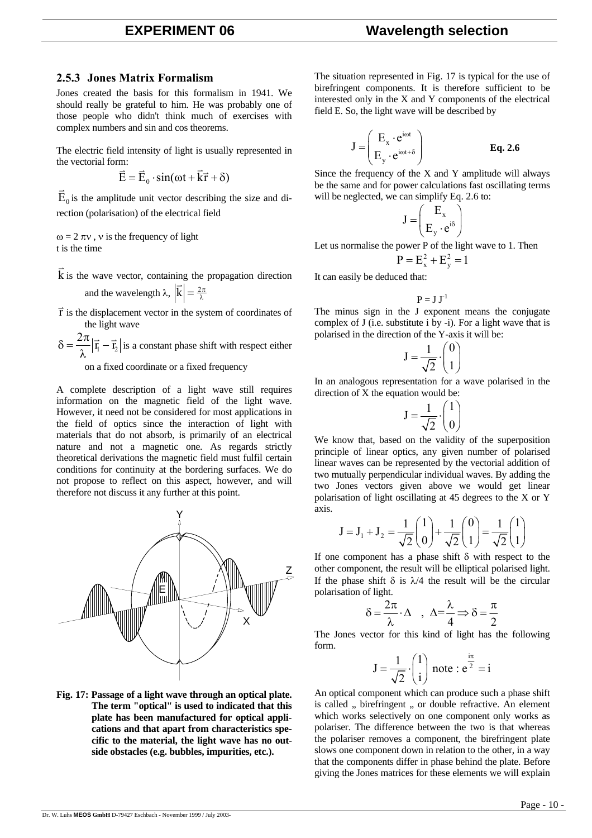### **2.5.3 Jones Matrix Formalism**

Jones created the basis for this formalism in 1941. We should really be grateful to him. He was probably one of those people who didn't think much of exercises with complex numbers and sin and cos theorems.

The electric field intensity of light is usually represented in the vectorial form:  $\vec{E}$   $\vec{E}$  and  $\vec{E}$ 

$$
\vec{E} = \vec{E}_0 \cdot \sin(\omega t + \vec{k}\vec{r} + \delta)
$$

 $\vec{E}_0$  is the amplitude unit vector describing the size and direction (polarisation) of the electrical field

 $ω = 2 π v$ , v is the frequency of light t is the time

k  $\overline{a}$ is the wave vector, containing the propagation direction and the wavelength  $\lambda$ ,  $|\vec{k}| = \frac{2\pi}{\lambda}$ 

 $\vec{r}$  is the displacement vector in the system of coordinates of the light wave

 $n_1 - n_2$  $\delta = \frac{2\pi}{\hbar} |\vec{r}_i - \vec{r}_i|$ λ  $|\vec{r}_i - \vec{r}_2|$  is a constant phase shift with respect either on a fixed coordinate or a fixed frequency

A complete description of a light wave still requires information on the magnetic field of the light wave. However, it need not be considered for most applications in the field of optics since the interaction of light with materials that do not absorb, is primarily of an electrical nature and not a magnetic one. As regards strictly theoretical derivations the magnetic field must fulfil certain conditions for continuity at the bordering surfaces. We do not propose to reflect on this aspect, however, and will therefore not discuss it any further at this point.



**Fig. 17: Passage of a light wave through an optical plate. The term "optical" is used to indicated that this plate has been manufactured for optical applications and that apart from characteristics specific to the material, the light wave has no outside obstacles (e.g. bubbles, impurities, etc.).** 

The situation represented in Fig. 17 is typical for the use of birefringent components. It is therefore sufficient to be interested only in the X and Y components of the electrical field E. So, the light wave will be described by

$$
\mathbf{J} = \begin{pmatrix} \mathbf{E}_{\mathbf{x}} \cdot \mathbf{e}^{\text{i} \omega t} \\ \mathbf{E}_{\mathbf{y}} \cdot \mathbf{e}^{\text{i} \omega t + \delta} \end{pmatrix} \qquad \qquad \mathbf{Eq. 2.6}
$$

Since the frequency of the X and Y amplitude will always be the same and for power calculations fast oscillating terms will be neglected, we can simplify Eq. 2.6 to:

$$
J = \begin{pmatrix} E_x \\ E_y \cdot e^{i\delta} \end{pmatrix}
$$

Let us normalise the power P of the light wave to 1. Then

$$
P = E_x^2 + E_y^2 = 1
$$

It can easily be deduced that:

$$
P=J\;J^{\text{-}1}
$$

The minus sign in the J exponent means the conjugate complex of J (i.e. substitute i by -i). For a light wave that is polarised in the direction of the Y-axis it will be:

$$
J = \frac{1}{\sqrt{2}} \cdot \begin{pmatrix} 0 \\ 1 \end{pmatrix}
$$

In an analogous representation for a wave polarised in the direction of X the equation would be:

$$
J = \frac{1}{\sqrt{2}} \cdot \begin{pmatrix} 1 \\ 0 \end{pmatrix}
$$

We know that, based on the validity of the superposition principle of linear optics, any given number of polarised linear waves can be represented by the vectorial addition of two mutually perpendicular individual waves. By adding the two Jones vectors given above we would get linear polarisation of light oscillating at 45 degrees to the X or Y axis.

$$
J = J_1 + J_2 = \frac{1}{\sqrt{2}} \begin{pmatrix} 1 \\ 0 \end{pmatrix} + \frac{1}{\sqrt{2}} \begin{pmatrix} 0 \\ 1 \end{pmatrix} = \frac{1}{\sqrt{2}} \begin{pmatrix} 1 \\ 1 \end{pmatrix}
$$

If one component has a phase shift  $\delta$  with respect to the other component, the result will be elliptical polarised light. If the phase shift  $\delta$  is  $\lambda/4$  the result will be the circular polarisation of light.

$$
\delta = \frac{2\pi}{\lambda} \cdot \Delta \quad , \ \ \Delta = \frac{\lambda}{4} \Longrightarrow \delta = \frac{\pi}{2}
$$

The Jones vector for this kind of light has the following form.

$$
J = \frac{1}{\sqrt{2}} \cdot \begin{pmatrix} 1 \\ i \end{pmatrix}
$$
 note :  $e^{\frac{i\pi}{2}} = i$ 

An optical component which can produce such a phase shift is called " birefringent " or double refractive. An element which works selectively on one component only works as polariser. The difference between the two is that whereas the polariser removes a component, the birefringent plate slows one component down in relation to the other, in a way that the components differ in phase behind the plate. Before giving the Jones matrices for these elements we will explain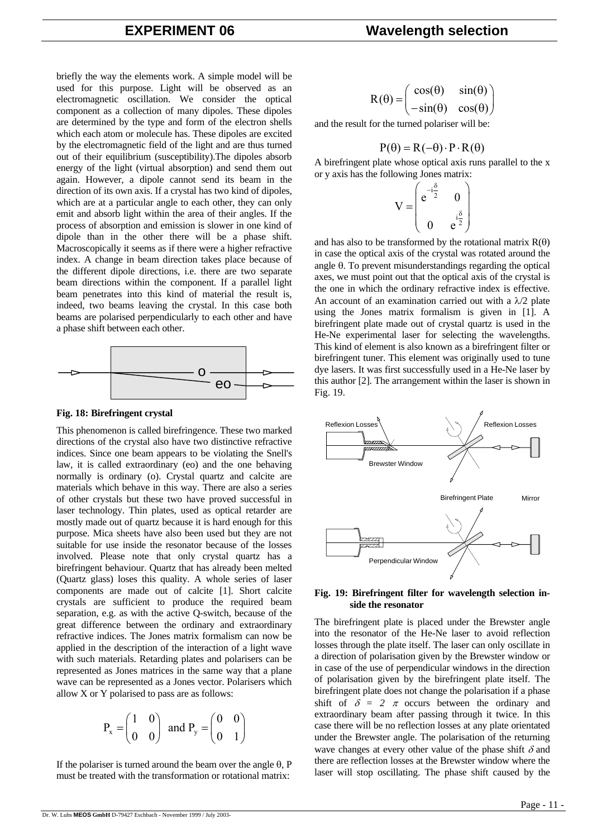briefly the way the elements work. A simple model will be used for this purpose. Light will be observed as an electromagnetic oscillation. We consider the optical component as a collection of many dipoles. These dipoles are determined by the type and form of the electron shells which each atom or molecule has. These dipoles are excited by the electromagnetic field of the light and are thus turned out of their equilibrium (susceptibility).The dipoles absorb energy of the light (virtual absorption) and send them out again. However, a dipole cannot send its beam in the direction of its own axis. If a crystal has two kind of dipoles, which are at a particular angle to each other, they can only emit and absorb light within the area of their angles. If the process of absorption and emission is slower in one kind of dipole than in the other there will be a phase shift. Macroscopically it seems as if there were a higher refractive index. A change in beam direction takes place because of the different dipole directions, i.e. there are two separate beam directions within the component. If a parallel light beam penetrates into this kind of material the result is, indeed, two beams leaving the crystal. In this case both beams are polarised perpendicularly to each other and have a phase shift between each other.



#### **Fig. 18: Birefringent crystal**

This phenomenon is called birefringence. These two marked directions of the crystal also have two distinctive refractive indices. Since one beam appears to be violating the Snell's law, it is called extraordinary (eo) and the one behaving normally is ordinary (o). Crystal quartz and calcite are materials which behave in this way. There are also a series of other crystals but these two have proved successful in laser technology. Thin plates, used as optical retarder are mostly made out of quartz because it is hard enough for this purpose. Mica sheets have also been used but they are not suitable for use inside the resonator because of the losses involved. Please note that only crystal quartz has a birefringent behaviour. Quartz that has already been melted (Quartz glass) loses this quality. A whole series of laser components are made out of calcite [1]. Short calcite crystals are sufficient to produce the required beam separation, e.g. as with the active Q-switch, because of the great difference between the ordinary and extraordinary refractive indices. The Jones matrix formalism can now be applied in the description of the interaction of a light wave with such materials. Retarding plates and polarisers can be represented as Jones matrices in the same way that a plane wave can be represented as a Jones vector. Polarisers which allow X or Y polarised to pass are as follows:

$$
P_x = \begin{pmatrix} 1 & 0 \\ 0 & 0 \end{pmatrix} \text{ and } P_y = \begin{pmatrix} 0 & 0 \\ 0 & 1 \end{pmatrix}
$$

If the polariser is turned around the beam over the angle θ, P must be treated with the transformation or rotational matrix:

$$
R(\theta) = \begin{pmatrix} \cos(\theta) & \sin(\theta) \\ -\sin(\theta) & \cos(\theta) \end{pmatrix}
$$

and the result for the turned polariser will be:

$$
P(\theta) = R(-\theta) \cdot P \cdot R(\theta)
$$

A birefringent plate whose optical axis runs parallel to the x or y axis has the following Jones matrix:

$$
V = \begin{pmatrix} e^{-i\frac{\delta}{2}} & 0 \\ 0 & e^{i\frac{\delta}{2}} \end{pmatrix}
$$

and has also to be transformed by the rotational matrix  $R(\theta)$ in case the optical axis of the crystal was rotated around the angle θ. To prevent misunderstandings regarding the optical axes, we must point out that the optical axis of the crystal is the one in which the ordinary refractive index is effective. An account of an examination carried out with a  $\lambda/2$  plate using the Jones matrix formalism is given in [1]. A birefringent plate made out of crystal quartz is used in the He-Ne experimental laser for selecting the wavelengths. This kind of element is also known as a birefringent filter or birefringent tuner. This element was originally used to tune dye lasers. It was first successfully used in a He-Ne laser by this author [2]. The arrangement within the laser is shown in Fig. 19.



#### **Fig. 19: Birefringent filter for wavelength selection inside the resonator**

The birefringent plate is placed under the Brewster angle into the resonator of the He-Ne laser to avoid reflection losses through the plate itself. The laser can only oscillate in a direction of polarisation given by the Brewster window or in case of the use of perpendicular windows in the direction of polarisation given by the birefringent plate itself. The birefringent plate does not change the polarisation if a phase shift of  $\delta = 2 \pi$  occurs between the ordinary and extraordinary beam after passing through it twice. In this case there will be no reflection losses at any plate orientated under the Brewster angle. The polarisation of the returning wave changes at every other value of the phase shift  $\delta$  and there are reflection losses at the Brewster window where the laser will stop oscillating. The phase shift caused by the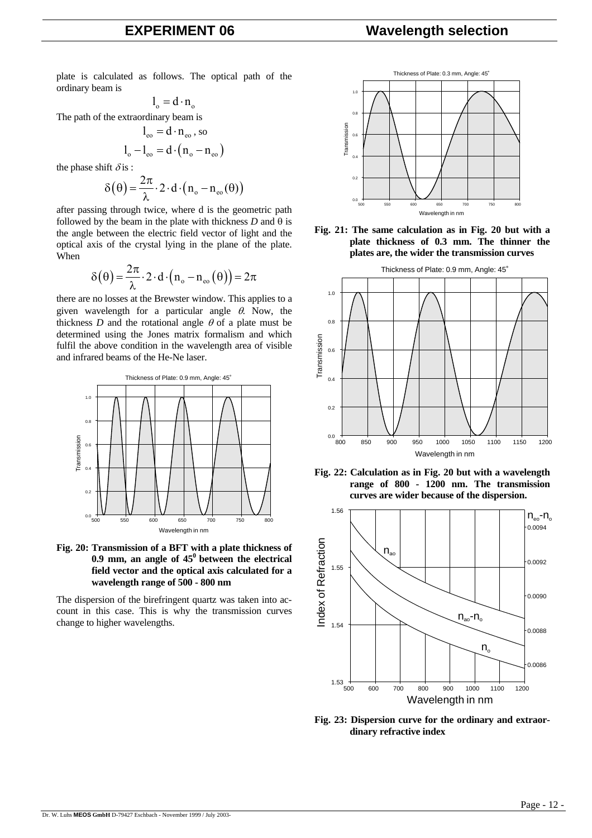# **EXPERIMENT 06 Wavelength selection**

plate is calculated as follows. The optical path of the ordinary beam is

$$
l_o = d \cdot n_o
$$

The path of the extraordinary beam is

$$
l_{\rm eo} = d \cdot n_{\rm eo}, \text{ so}
$$

$$
l_{\rm o} - l_{\rm eo} = d \cdot (n_{\rm o} - n_{\rm eo})
$$

the phase shift  $\delta$  is :

$$
\delta\big(\theta\big)\!=\!\frac{2\pi}{\lambda}\!\cdot\!2\cdot d\!\cdot\!\big(n_{\mathrm{o}}-n_{\mathrm{eo}}(\theta)\big)
$$

after passing through twice, where d is the geometric path followed by the beam in the plate with thickness  $D$  and  $\theta$  is the angle between the electric field vector of light and the optical axis of the crystal lying in the plane of the plate. When

$$
\delta\big(\theta\big) = \frac{2\pi}{\lambda} \cdot 2 \cdot d \cdot \left(n_{\mathrm{o}} - n_{\mathrm{eo}}\left(\theta\right)\right) = 2\pi
$$

there are no losses at the Brewster window. This applies to a given wavelength for a particular angle  $\theta$ . Now, the thickness  $D$  and the rotational angle  $\theta$  of a plate must be determined using the Jones matrix formalism and which fulfil the above condition in the wavelength area of visible and infrared beams of the He-Ne laser.





The dispersion of the birefringent quartz was taken into account in this case. This is why the transmission curves change to higher wavelengths.











**Fig. 23: Dispersion curve for the ordinary and extraordinary refractive index**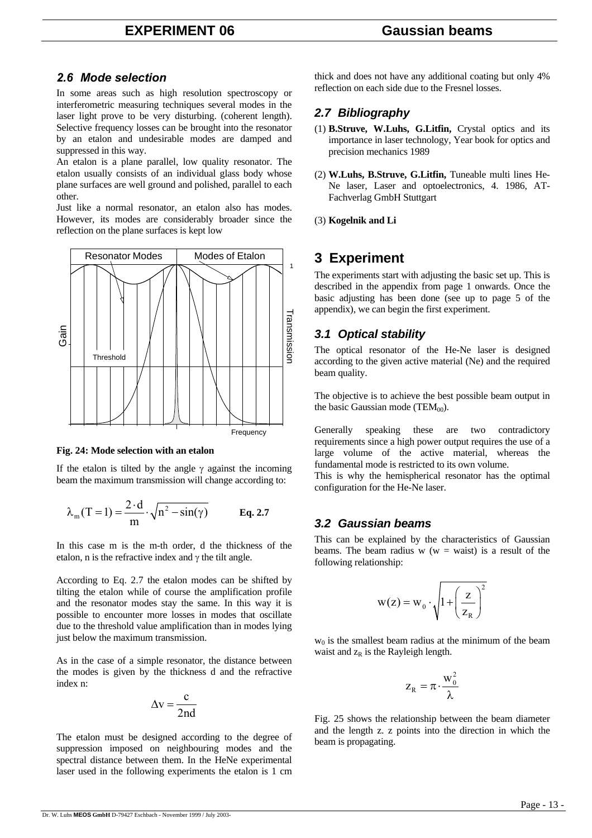### *2.6 Mode selection*

In some areas such as high resolution spectroscopy or interferometric measuring techniques several modes in the laser light prove to be very disturbing. (coherent length). Selective frequency losses can be brought into the resonator by an etalon and undesirable modes are damped and suppressed in this way.

An etalon is a plane parallel, low quality resonator. The etalon usually consists of an individual glass body whose plane surfaces are well ground and polished, parallel to each other.

Just like a normal resonator, an etalon also has modes. However, its modes are considerably broader since the reflection on the plane surfaces is kept low



### **Fig. 24: Mode selection with an etalon**

If the etalon is tilted by the angle  $\gamma$  against the incoming beam the maximum transmission will change according to:

$$
\lambda_{\rm m}(T=1) = \frac{2 \cdot d}{m} \cdot \sqrt{n^2 - \sin(\gamma)}
$$
 Eq. 2.7

In this case m is the m-th order, d the thickness of the etalon, n is the refractive index and  $\gamma$  the tilt angle.

According to Eq. 2.7 the etalon modes can be shifted by tilting the etalon while of course the amplification profile and the resonator modes stay the same. In this way it is possible to encounter more losses in modes that oscillate due to the threshold value amplification than in modes lying just below the maximum transmission.

As in the case of a simple resonator, the distance between the modes is given by the thickness d and the refractive index n:

$$
\Delta v = \frac{c}{2nd}
$$

The etalon must be designed according to the degree of suppression imposed on neighbouring modes and the spectral distance between them. In the HeNe experimental laser used in the following experiments the etalon is 1 cm

thick and does not have any additional coating but only 4% reflection on each side due to the Fresnel losses.

# *2.7 Bibliography*

- (1) **B.Struve, W.Luhs, G.Litfin,** Crystal optics and its importance in laser technology, Year book for optics and precision mechanics 1989
- (2) **W.Luhs, B.Struve, G.Litfin,** Tuneable multi lines He-Ne laser, Laser and optoelectronics, 4. 1986, AT-Fachverlag GmbH Stuttgart
- (3) **Kogelnik and Li**

# **3 Experiment**

The experiments start with adjusting the basic set up. This is described in the appendix from page 1 onwards. Once the basic adjusting has been done (see up to page 5 of the appendix), we can begin the first experiment.

# *3.1 Optical stability*

The optical resonator of the He-Ne laser is designed according to the given active material (Ne) and the required beam quality.

The objective is to achieve the best possible beam output in the basic Gaussian mode (TEM $_{00}$ ).

Generally speaking these are two contradictory requirements since a high power output requires the use of a large volume of the active material, whereas the fundamental mode is restricted to its own volume.

This is why the hemispherical resonator has the optimal configuration for the He-Ne laser.

# *3.2 Gaussian beams*

This can be explained by the characteristics of Gaussian beams. The beam radius  $w(w = waist)$  is a result of the following relationship:

$$
w(z) = w_0 \cdot \sqrt{1 + \left(\frac{z}{z_R}\right)^2}
$$

 $w_0$  is the smallest beam radius at the minimum of the beam waist and  $z_R$  is the Rayleigh length.

$$
z_{_R}=\pi\!\cdot\!\frac{w_0^2}{\lambda}
$$

Fig. 25 shows the relationship between the beam diameter and the length z. z points into the direction in which the beam is propagating.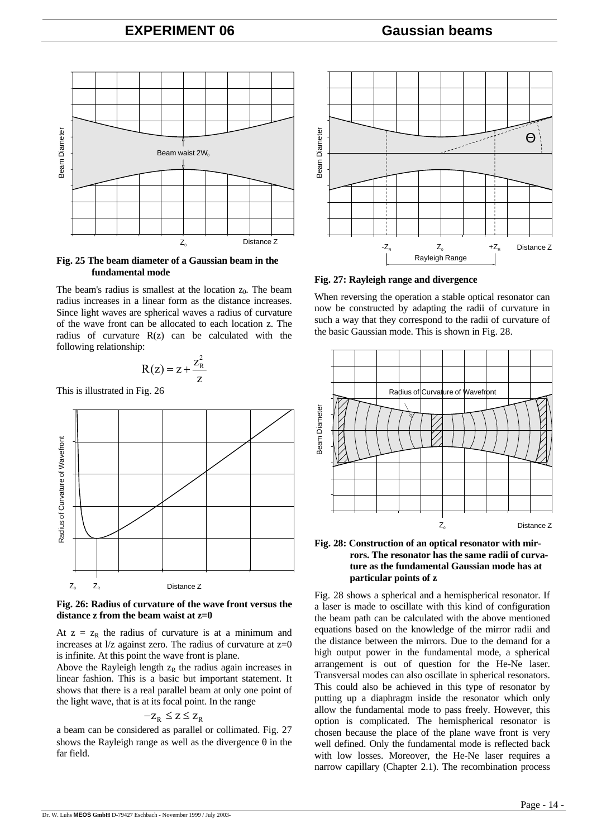# **EXPERIMENT 06 Gaussian beams**



**Fig. 25 The beam diameter of a Gaussian beam in the fundamental mode** 

The beam's radius is smallest at the location  $z_0$ . The beam radius increases in a linear form as the distance increases. Since light waves are spherical waves a radius of curvature of the wave front can be allocated to each location z. The radius of curvature R(z) can be calculated with the following relationship:

$$
R(z) = z + \frac{z_R^2}{z}
$$

This is illustrated in Fig. 26



#### **Fig. 26: Radius of curvature of the wave front versus the distance z from the beam waist at z=0**

At  $z = z_R$  the radius of curvature is at a minimum and increases at  $1/z$  against zero. The radius of curvature at  $z=0$ is infinite. At this point the wave front is plane.

Above the Rayleigh length  $z_R$  the radius again increases in linear fashion. This is a basic but important statement. It shows that there is a real parallel beam at only one point of the light wave, that is at its focal point. In the range

$$
-z_R \leq z \leq z_R
$$

a beam can be considered as parallel or collimated. Fig. 27 shows the Rayleigh range as well as the divergence  $\theta$  in the far field.



**Fig. 27: Rayleigh range and divergence** 

When reversing the operation a stable optical resonator can now be constructed by adapting the radii of curvature in such a way that they correspond to the radii of curvature of the basic Gaussian mode. This is shown in Fig. 28.



#### **Fig. 28: Construction of an optical resonator with mirrors. The resonator has the same radii of curvature as the fundamental Gaussian mode has at particular points of z**

Fig. 28 shows a spherical and a hemispherical resonator. If a laser is made to oscillate with this kind of configuration the beam path can be calculated with the above mentioned equations based on the knowledge of the mirror radii and the distance between the mirrors. Due to the demand for a high output power in the fundamental mode, a spherical arrangement is out of question for the He-Ne laser. Transversal modes can also oscillate in spherical resonators. This could also be achieved in this type of resonator by putting up a diaphragm inside the resonator which only allow the fundamental mode to pass freely. However, this option is complicated. The hemispherical resonator is chosen because the place of the plane wave front is very well defined. Only the fundamental mode is reflected back with low losses. Moreover, the He-Ne laser requires a narrow capillary (Chapter 2.1). The recombination process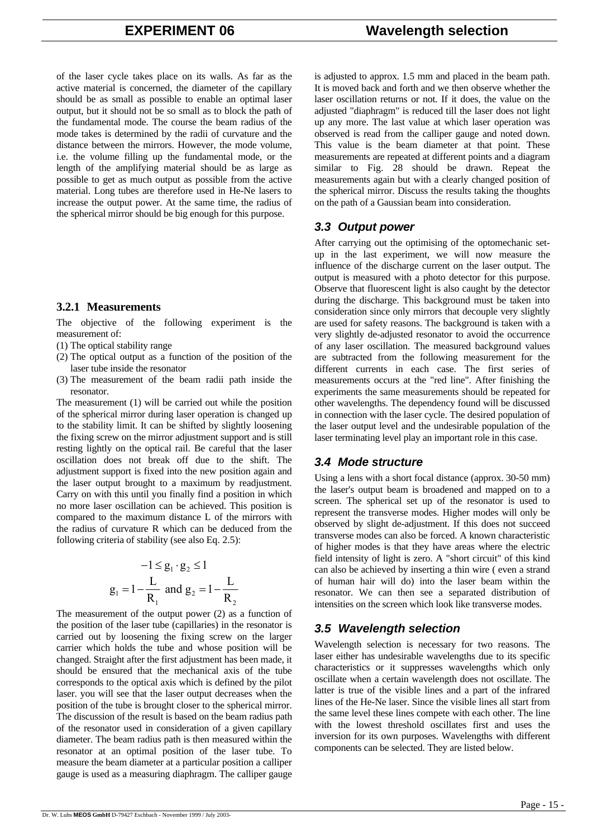of the laser cycle takes place on its walls. As far as the active material is concerned, the diameter of the capillary should be as small as possible to enable an optimal laser output, but it should not be so small as to block the path of the fundamental mode. The course the beam radius of the mode takes is determined by the radii of curvature and the distance between the mirrors. However, the mode volume, i.e. the volume filling up the fundamental mode, or the length of the amplifying material should be as large as possible to get as much output as possible from the active material. Long tubes are therefore used in He-Ne lasers to increase the output power. At the same time, the radius of the spherical mirror should be big enough for this purpose.

### **3.2.1 Measurements**

The objective of the following experiment is the measurement of:

- (1) The optical stability range
- (2) The optical output as a function of the position of the laser tube inside the resonator
- (3) The measurement of the beam radii path inside the resonator.

The measurement (1) will be carried out while the position of the spherical mirror during laser operation is changed up to the stability limit. It can be shifted by slightly loosening the fixing screw on the mirror adjustment support and is still resting lightly on the optical rail. Be careful that the laser oscillation does not break off due to the shift. The adjustment support is fixed into the new position again and the laser output brought to a maximum by readjustment. Carry on with this until you finally find a position in which no more laser oscillation can be achieved. This position is compared to the maximum distance L of the mirrors with the radius of curvature R which can be deduced from the following criteria of stability (see also Eq. 2.5):

$$
-1 \le g_1 \cdot g_2 \le 1
$$
  
 
$$
g_1 = 1 - \frac{L}{R_1} \text{ and } g_2 = 1 - \frac{L}{R_2}
$$

The measurement of the output power (2) as a function of the position of the laser tube (capillaries) in the resonator is carried out by loosening the fixing screw on the larger carrier which holds the tube and whose position will be changed. Straight after the first adjustment has been made, it should be ensured that the mechanical axis of the tube corresponds to the optical axis which is defined by the pilot laser. you will see that the laser output decreases when the position of the tube is brought closer to the spherical mirror. The discussion of the result is based on the beam radius path of the resonator used in consideration of a given capillary diameter. The beam radius path is then measured within the resonator at an optimal position of the laser tube. To measure the beam diameter at a particular position a calliper gauge is used as a measuring diaphragm. The calliper gauge

is adjusted to approx. 1.5 mm and placed in the beam path. It is moved back and forth and we then observe whether the laser oscillation returns or not. If it does, the value on the adjusted "diaphragm" is reduced till the laser does not light up any more. The last value at which laser operation was observed is read from the calliper gauge and noted down. This value is the beam diameter at that point. These measurements are repeated at different points and a diagram similar to Fig. 28 should be drawn. Repeat the measurements again but with a clearly changed position of the spherical mirror. Discuss the results taking the thoughts on the path of a Gaussian beam into consideration.

# *3.3 Output power*

After carrying out the optimising of the optomechanic setup in the last experiment, we will now measure the influence of the discharge current on the laser output. The output is measured with a photo detector for this purpose. Observe that fluorescent light is also caught by the detector during the discharge. This background must be taken into consideration since only mirrors that decouple very slightly are used for safety reasons. The background is taken with a very slightly de-adjusted resonator to avoid the occurrence of any laser oscillation. The measured background values are subtracted from the following measurement for the different currents in each case. The first series of measurements occurs at the "red line". After finishing the experiments the same measurements should be repeated for other wavelengths. The dependency found will be discussed in connection with the laser cycle. The desired population of the laser output level and the undesirable population of the laser terminating level play an important role in this case.

# *3.4 Mode structure*

Using a lens with a short focal distance (approx. 30-50 mm) the laser's output beam is broadened and mapped on to a screen. The spherical set up of the resonator is used to represent the transverse modes. Higher modes will only be observed by slight de-adjustment. If this does not succeed transverse modes can also be forced. A known characteristic of higher modes is that they have areas where the electric field intensity of light is zero. A "short circuit" of this kind can also be achieved by inserting a thin wire ( even a strand of human hair will do) into the laser beam within the resonator. We can then see a separated distribution of intensities on the screen which look like transverse modes.

# *3.5 Wavelength selection*

Wavelength selection is necessary for two reasons. The laser either has undesirable wavelengths due to its specific characteristics or it suppresses wavelengths which only oscillate when a certain wavelength does not oscillate. The latter is true of the visible lines and a part of the infrared lines of the He-Ne laser. Since the visible lines all start from the same level these lines compete with each other. The line with the lowest threshold oscillates first and uses the inversion for its own purposes. Wavelengths with different components can be selected. They are listed below.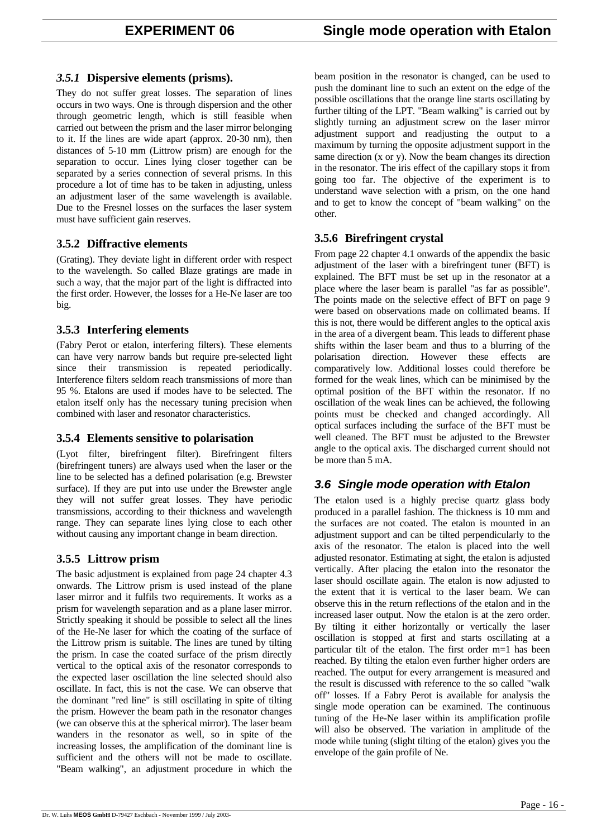# *3.5.1* **Dispersive elements (prisms).**

They do not suffer great losses. The separation of lines occurs in two ways. One is through dispersion and the other through geometric length, which is still feasible when carried out between the prism and the laser mirror belonging to it. If the lines are wide apart (approx. 20-30 nm), then distances of 5-10 mm (Littrow prism) are enough for the separation to occur. Lines lying closer together can be separated by a series connection of several prisms. In this procedure a lot of time has to be taken in adjusting, unless an adjustment laser of the same wavelength is available. Due to the Fresnel losses on the surfaces the laser system must have sufficient gain reserves.

# **3.5.2 Diffractive elements**

(Grating). They deviate light in different order with respect to the wavelength. So called Blaze gratings are made in such a way, that the major part of the light is diffracted into the first order. However, the losses for a He-Ne laser are too big.

# **3.5.3 Interfering elements**

(Fabry Perot or etalon, interfering filters). These elements can have very narrow bands but require pre-selected light since their transmission is repeated periodically. Interference filters seldom reach transmissions of more than 95 %. Etalons are used if modes have to be selected. The etalon itself only has the necessary tuning precision when combined with laser and resonator characteristics.

# **3.5.4 Elements sensitive to polarisation**

(Lyot filter, birefringent filter). Birefringent filters (birefringent tuners) are always used when the laser or the line to be selected has a defined polarisation (e.g. Brewster surface). If they are put into use under the Brewster angle they will not suffer great losses. They have periodic transmissions, according to their thickness and wavelength range. They can separate lines lying close to each other without causing any important change in beam direction.

# **3.5.5 Littrow prism**

The basic adjustment is explained from page 24 chapter 4.3 onwards. The Littrow prism is used instead of the plane laser mirror and it fulfils two requirements. It works as a prism for wavelength separation and as a plane laser mirror. Strictly speaking it should be possible to select all the lines of the He-Ne laser for which the coating of the surface of the Littrow prism is suitable. The lines are tuned by tilting the prism. In case the coated surface of the prism directly vertical to the optical axis of the resonator corresponds to the expected laser oscillation the line selected should also oscillate. In fact, this is not the case. We can observe that the dominant "red line" is still oscillating in spite of tilting the prism. However the beam path in the resonator changes (we can observe this at the spherical mirror). The laser beam wanders in the resonator as well, so in spite of the increasing losses, the amplification of the dominant line is sufficient and the others will not be made to oscillate. "Beam walking", an adjustment procedure in which the beam position in the resonator is changed, can be used to push the dominant line to such an extent on the edge of the possible oscillations that the orange line starts oscillating by further tilting of the LPT. "Beam walking" is carried out by slightly turning an adjustment screw on the laser mirror adjustment support and readjusting the output to a maximum by turning the opposite adjustment support in the same direction (x or y). Now the beam changes its direction in the resonator. The iris effect of the capillary stops it from going too far. The objective of the experiment is to understand wave selection with a prism, on the one hand and to get to know the concept of "beam walking" on the other.

# **3.5.6 Birefringent crystal**

From page 22 chapter 4.1 onwards of the appendix the basic adjustment of the laser with a birefringent tuner (BFT) is explained. The BFT must be set up in the resonator at a place where the laser beam is parallel "as far as possible". The points made on the selective effect of BFT on page 9 were based on observations made on collimated beams. If this is not, there would be different angles to the optical axis in the area of a divergent beam. This leads to different phase shifts within the laser beam and thus to a blurring of the polarisation direction. However these effects are comparatively low. Additional losses could therefore be formed for the weak lines, which can be minimised by the optimal position of the BFT within the resonator. If no oscillation of the weak lines can be achieved, the following points must be checked and changed accordingly. All optical surfaces including the surface of the BFT must be well cleaned. The BFT must be adjusted to the Brewster angle to the optical axis. The discharged current should not be more than 5 mA.

# *3.6 Single mode operation with Etalon*

The etalon used is a highly precise quartz glass body produced in a parallel fashion. The thickness is 10 mm and the surfaces are not coated. The etalon is mounted in an adjustment support and can be tilted perpendicularly to the axis of the resonator. The etalon is placed into the well adjusted resonator. Estimating at sight, the etalon is adjusted vertically. After placing the etalon into the resonator the laser should oscillate again. The etalon is now adjusted to the extent that it is vertical to the laser beam. We can observe this in the return reflections of the etalon and in the increased laser output. Now the etalon is at the zero order. By tilting it either horizontally or vertically the laser oscillation is stopped at first and starts oscillating at a particular tilt of the etalon. The first order m=1 has been reached. By tilting the etalon even further higher orders are reached. The output for every arrangement is measured and the result is discussed with reference to the so called "walk off" losses. If a Fabry Perot is available for analysis the single mode operation can be examined. The continuous tuning of the He-Ne laser within its amplification profile will also be observed. The variation in amplitude of the mode while tuning (slight tilting of the etalon) gives you the envelope of the gain profile of Ne.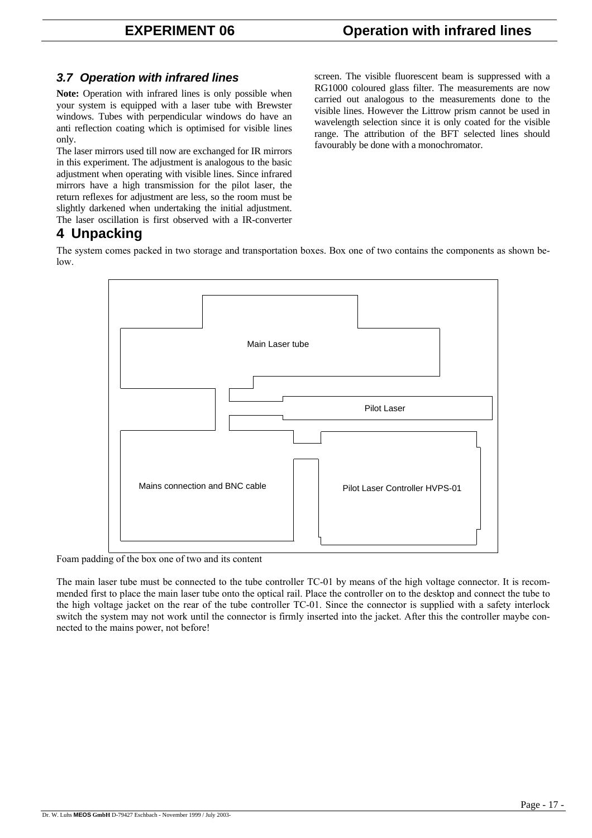# *3.7 Operation with infrared lines*

**Note:** Operation with infrared lines is only possible when your system is equipped with a laser tube with Brewster windows. Tubes with perpendicular windows do have an anti reflection coating which is optimised for visible lines only.

The laser mirrors used till now are exchanged for IR mirrors in this experiment. The adjustment is analogous to the basic adjustment when operating with visible lines. Since infrared mirrors have a high transmission for the pilot laser, the return reflexes for adjustment are less, so the room must be slightly darkened when undertaking the initial adjustment. The laser oscillation is first observed with a IR-converter screen. The visible fluorescent beam is suppressed with a RG1000 coloured glass filter. The measurements are now carried out analogous to the measurements done to the visible lines. However the Littrow prism cannot be used in wavelength selection since it is only coated for the visible range. The attribution of the BFT selected lines should favourably be done with a monochromator.

# **4 Unpacking**

The system comes packed in two storage and transportation boxes. Box one of two contains the components as shown below.



Foam padding of the box one of two and its content

The main laser tube must be connected to the tube controller TC-01 by means of the high voltage connector. It is recommended first to place the main laser tube onto the optical rail. Place the controller on to the desktop and connect the tube to the high voltage jacket on the rear of the tube controller TC-01. Since the connector is supplied with a safety interlock switch the system may not work until the connector is firmly inserted into the jacket. After this the controller maybe connected to the mains power, not before!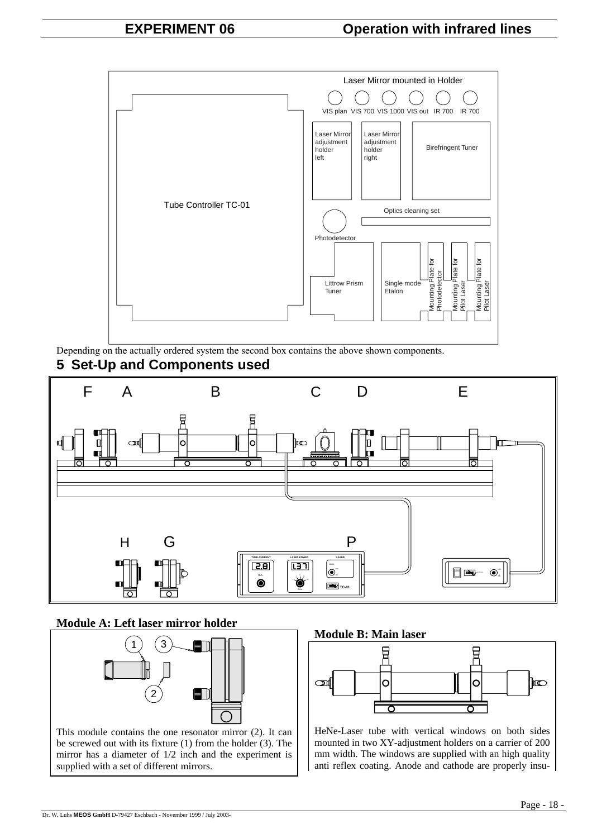

Depending on the actually ordered system the second box contains the above shown components.

# **5 Set-Up and Components used**



# **Module A: Left laser mirror holder**



be screwed out with its fixture (1) from the holder (3). The mirror has a diameter of 1/2 inch and the experiment is supplied with a set of different mirrors.





HeNe-Laser tube with vertical windows on both sides mounted in two XY-adjustment holders on a carrier of 200 mm width. The windows are supplied with an high quality anti reflex coating. Anode and cathode are properly insu-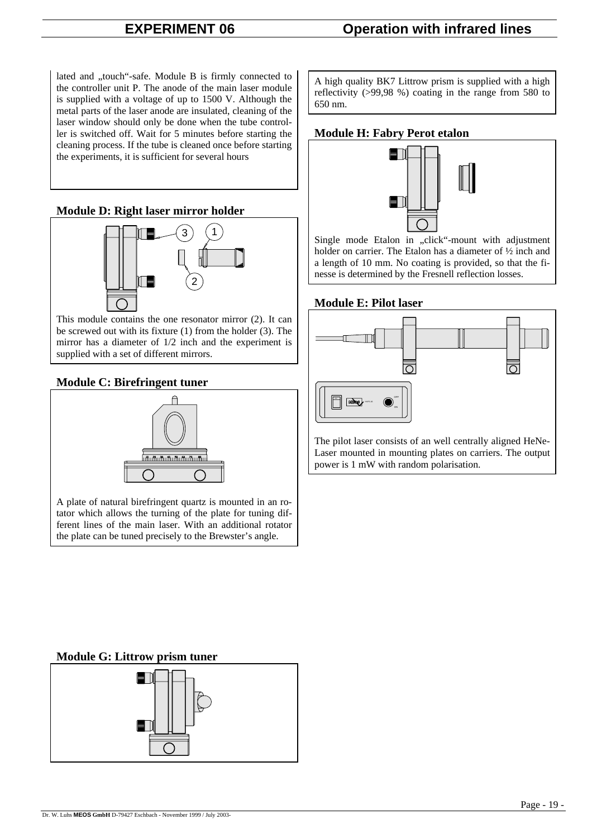lated and "touch"-safe. Module B is firmly connected to the controller unit P. The anode of the main laser module is supplied with a voltage of up to 1500 V. Although the metal parts of the laser anode are insulated, cleaning of the laser window should only be done when the tube controller is switched off. Wait for 5 minutes before starting the cleaning process. If the tube is cleaned once before starting the experiments, it is sufficient for several hours

# **Module D: Right laser mirror holder**



This module contains the one resonator mirror (2). It can be screwed out with its fixture (1) from the holder (3). The mirror has a diameter of 1/2 inch and the experiment is supplied with a set of different mirrors.

# **Module C: Birefringent tuner**



A plate of natural birefringent quartz is mounted in an rotator which allows the turning of the plate for tuning different lines of the main laser. With an additional rotator the plate can be tuned precisely to the Brewster's angle.

A high quality BK7 Littrow prism is supplied with a high reflectivity (>99,98 %) coating in the range from 580 to 650 nm.

# **Module H: Fabry Perot etalon**



Single mode Etalon in "click"-mount with adjustment holder on carrier. The Etalon has a diameter of ½ inch and a length of 10 mm. No coating is provided, so that the finesse is determined by the Fresnell reflection losses.

# **Module E: Pilot laser**



Laser mounted in mounting plates on carriers. The output power is 1 mW with random polarisation.

# **Module G: Littrow prism tuner**

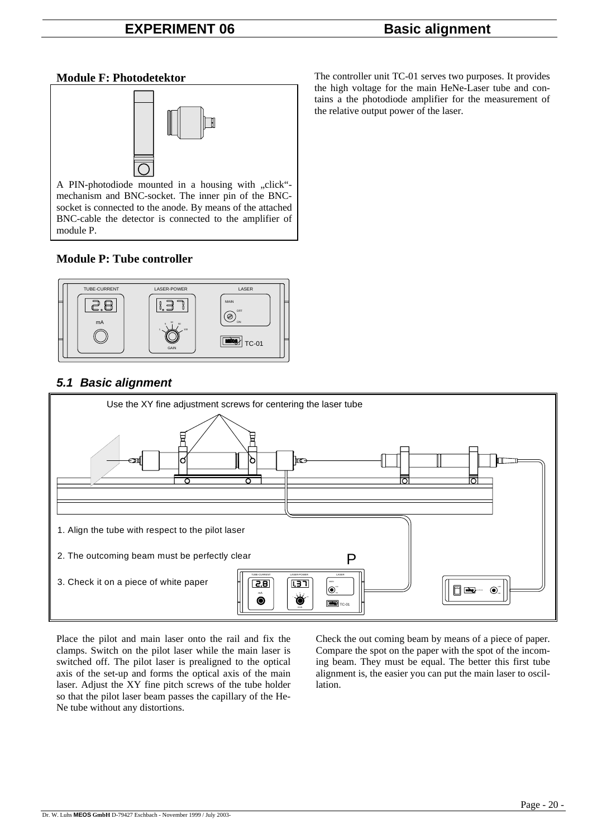# **Module F: Photodetektor**



A PIN-photodiode mounted in a housing with "click"mechanism and BNC-socket. The inner pin of the BNCsocket is connected to the anode. By means of the attached BNC-cable the detector is connected to the amplifier of module P.

# **Module P: Tube controller**



# *5.1 Basic alignment*



Place the pilot and main laser onto the rail and fix the clamps. Switch on the pilot laser while the main laser is switched off. The pilot laser is prealigned to the optical axis of the set-up and forms the optical axis of the main laser. Adjust the XY fine pitch screws of the tube holder so that the pilot laser beam passes the capillary of the He-Ne tube without any distortions.

Check the out coming beam by means of a piece of paper. Compare the spot on the paper with the spot of the incoming beam. They must be equal. The better this first tube alignment is, the easier you can put the main laser to oscillation.

The controller unit TC-01 serves two purposes. It provides the high voltage for the main HeNe-Laser tube and contains a the photodiode amplifier for the measurement of the relative output power of the laser.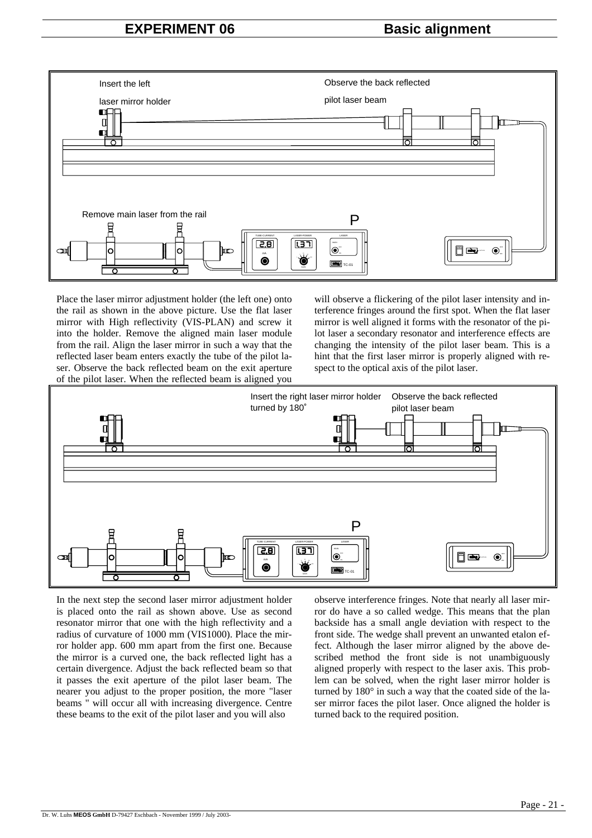# **EXPERIMENT 06 Basic alignment**



Place the laser mirror adjustment holder (the left one) onto the rail as shown in the above picture. Use the flat laser mirror with High reflectivity (VIS-PLAN) and screw it into the holder. Remove the aligned main laser module from the rail. Align the laser mirror in such a way that the reflected laser beam enters exactly the tube of the pilot laser. Observe the back reflected beam on the exit aperture of the pilot laser. When the reflected beam is aligned you

will observe a flickering of the pilot laser intensity and interference fringes around the first spot. When the flat laser mirror is well aligned it forms with the resonator of the pilot laser a secondary resonator and interference effects are changing the intensity of the pilot laser beam. This is a hint that the first laser mirror is properly aligned with respect to the optical axis of the pilot laser.



In the next step the second laser mirror adjustment holder is placed onto the rail as shown above. Use as second resonator mirror that one with the high reflectivity and a radius of curvature of 1000 mm (VIS1000). Place the mirror holder app. 600 mm apart from the first one. Because the mirror is a curved one, the back reflected light has a certain divergence. Adjust the back reflected beam so that it passes the exit aperture of the pilot laser beam. The nearer you adjust to the proper position, the more "laser beams " will occur all with increasing divergence. Centre these beams to the exit of the pilot laser and you will also

observe interference fringes. Note that nearly all laser mirror do have a so called wedge. This means that the plan backside has a small angle deviation with respect to the front side. The wedge shall prevent an unwanted etalon effect. Although the laser mirror aligned by the above described method the front side is not unambiguously aligned properly with respect to the laser axis. This problem can be solved, when the right laser mirror holder is turned by 180° in such a way that the coated side of the laser mirror faces the pilot laser. Once aligned the holder is turned back to the required position.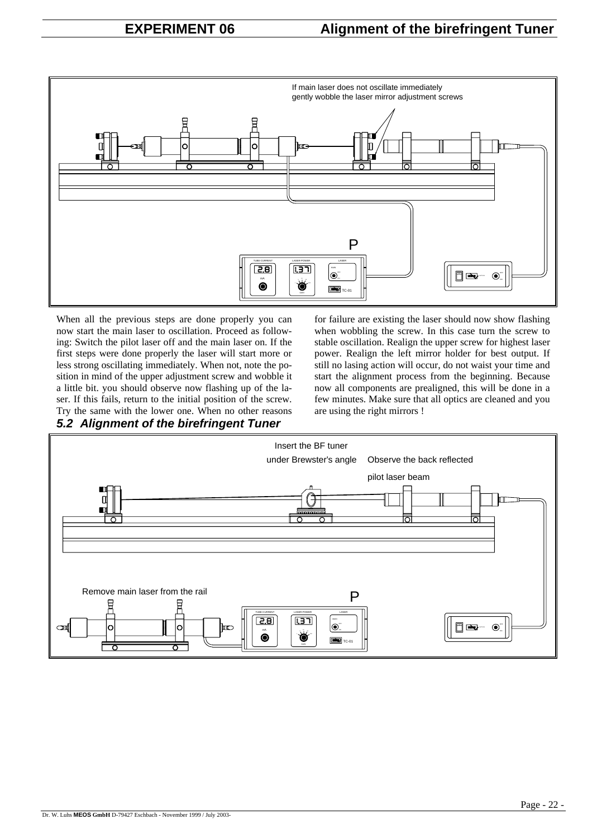

When all the previous steps are done properly you can now start the main laser to oscillation. Proceed as following: Switch the pilot laser off and the main laser on. If the first steps were done properly the laser will start more or less strong oscillating immediately. When not, note the position in mind of the upper adjustment screw and wobble it a little bit. you should observe now flashing up of the laser. If this fails, return to the initial position of the screw. Try the same with the lower one. When no other reasons *5.2 Alignment of the birefringent Tuner* 

for failure are existing the laser should now show flashing when wobbling the screw. In this case turn the screw to stable oscillation. Realign the upper screw for highest laser power. Realign the left mirror holder for best output. If still no lasing action will occur, do not waist your time and start the alignment process from the beginning. Because now all components are prealigned, this will be done in a few minutes. Make sure that all optics are cleaned and you are using the right mirrors !

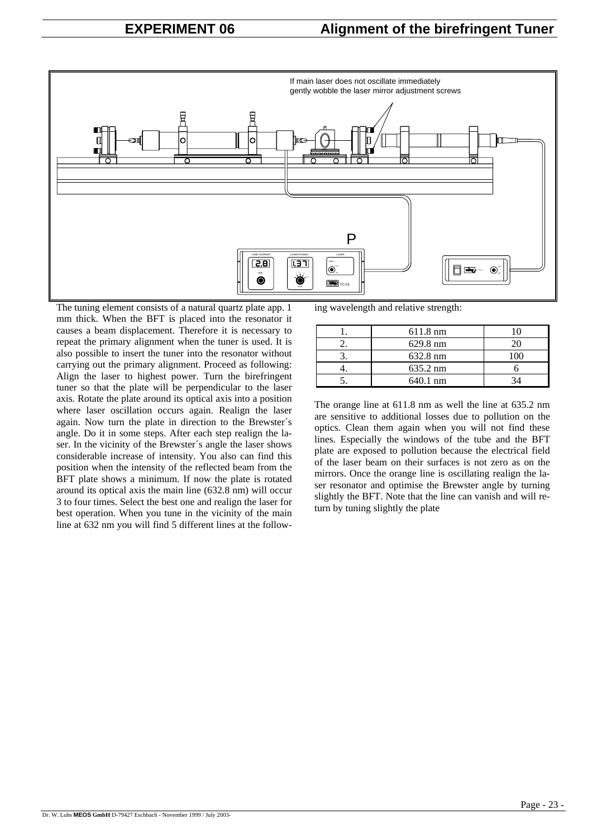

The tuning element consists of a natural quartz plate app. 1 mm thick. When the BFT is placed into the resonator it causes a beam displacement. Therefore it is necessary to repeat the primary alignment when the tuner is used. It is also possible to insert the tuner into the resonator without carrying out the primary alignment. Proceed as following: Align the laser to highest power. Turn the birefringent tuner so that the plate will be perpendicular to the laser axis. Rotate the plate around its optical axis into a position where laser oscillation occurs again. Realign the laser again. Now turn the plate in direction to the Brewster´s angle. Do it in some steps. After each step realign the laser. In the vicinity of the Brewster´s angle the laser shows considerable increase of intensity. You also can find this position when the intensity of the reflected beam from the BFT plate shows a minimum. If now the plate is rotated around its optical axis the main line (632.8 nm) will occur 3 to four times. Select the best one and realign the laser for best operation. When you tune in the vicinity of the main line at 632 nm you will find 5 different lines at the following wavelength and relative strength:

|    | 611.8 nm |  |
|----|----------|--|
| ω. | 629.8 nm |  |
|    | 632.8 nm |  |
|    | 635.2 nm |  |
|    | 640.1 nm |  |

The orange line at 611.8 nm as well the line at 635.2 nm are sensitive to additional losses due to pollution on the optics. Clean them again when you will not find these lines. Especially the windows of the tube and the BFT plate are exposed to pollution because the electrical field of the laser beam on their surfaces is not zero as on the mirrors. Once the orange line is oscillating realign the laser resonator and optimise the Brewster angle by turning slightly the BFT. Note that the line can vanish and will return by tuning slightly the plate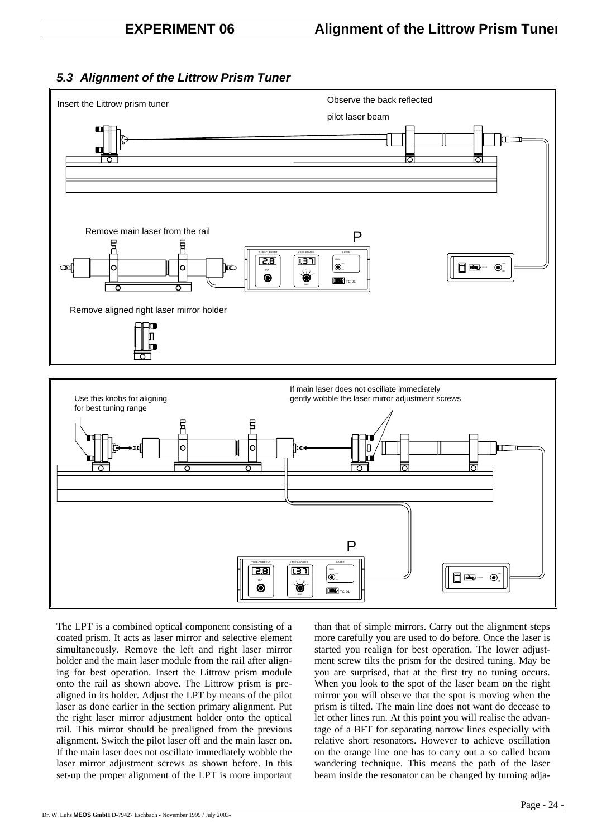# *5.3 Alignment of the Littrow Prism Tuner*





The LPT is a combined optical component consisting of a coated prism. It acts as laser mirror and selective element simultaneously. Remove the left and right laser mirror holder and the main laser module from the rail after aligning for best operation. Insert the Littrow prism module onto the rail as shown above. The Littrow prism is prealigned in its holder. Adjust the LPT by means of the pilot laser as done earlier in the section primary alignment. Put the right laser mirror adjustment holder onto the optical rail. This mirror should be prealigned from the previous alignment. Switch the pilot laser off and the main laser on. If the main laser does not oscillate immediately wobble the laser mirror adjustment screws as shown before. In this set-up the proper alignment of the LPT is more important

than that of simple mirrors. Carry out the alignment steps more carefully you are used to do before. Once the laser is started you realign for best operation. The lower adjustment screw tilts the prism for the desired tuning. May be you are surprised, that at the first try no tuning occurs. When you look to the spot of the laser beam on the right mirror you will observe that the spot is moving when the prism is tilted. The main line does not want do decease to let other lines run. At this point you will realise the advantage of a BFT for separating narrow lines especially with relative short resonators. However to achieve oscillation on the orange line one has to carry out a so called beam wandering technique. This means the path of the laser beam inside the resonator can be changed by turning adja-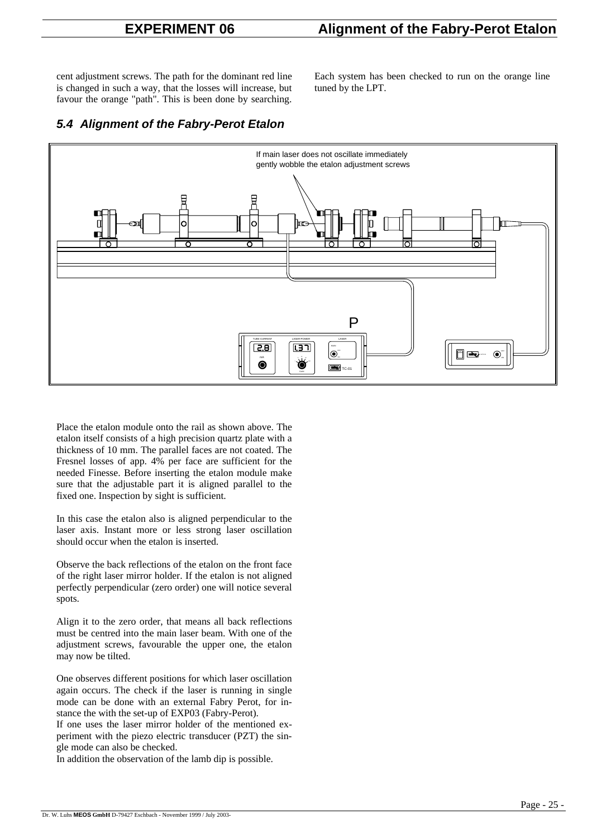# **EXPERIMENT 06 Alignment of the Fabry-Perot Etalon**

cent adjustment screws. The path for the dominant red line is changed in such a way, that the losses will increase, but favour the orange "path". This is been done by searching.

Each system has been checked to run on the orange line tuned by the LPT.

# *5.4 Alignment of the Fabry-Perot Etalon*



Place the etalon module onto the rail as shown above. The etalon itself consists of a high precision quartz plate with a thickness of 10 mm. The parallel faces are not coated. The Fresnel losses of app. 4% per face are sufficient for the needed Finesse. Before inserting the etalon module make sure that the adjustable part it is aligned parallel to the fixed one. Inspection by sight is sufficient.

In this case the etalon also is aligned perpendicular to the laser axis. Instant more or less strong laser oscillation should occur when the etalon is inserted.

Observe the back reflections of the etalon on the front face of the right laser mirror holder. If the etalon is not aligned perfectly perpendicular (zero order) one will notice several spots.

Align it to the zero order, that means all back reflections must be centred into the main laser beam. With one of the adjustment screws, favourable the upper one, the etalon may now be tilted.

One observes different positions for which laser oscillation again occurs. The check if the laser is running in single mode can be done with an external Fabry Perot, for instance the with the set-up of EXP03 (Fabry-Perot).

If one uses the laser mirror holder of the mentioned experiment with the piezo electric transducer (PZT) the single mode can also be checked.

In addition the observation of the lamb dip is possible.